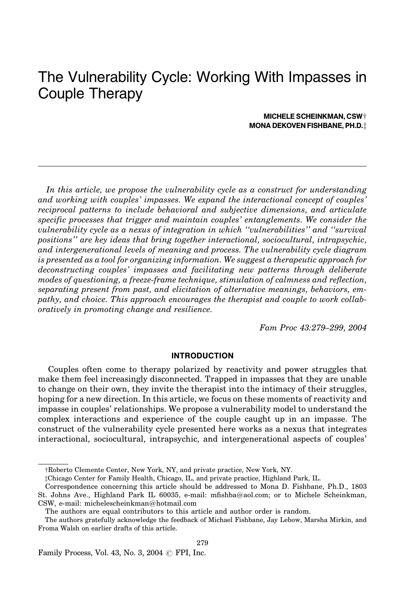# The Vulnerability Cycle: Working With Impasses in Couple Therapy

## MICHELE SCHEINKMAN, CSW $\dagger$ MONA DEKOVEN FISHBANE, PH.D.<sup>+</sup>

In this article, we propose the vulnerability cycle as a construct for understanding and working with couples' impasses. We expand the interactional concept of couples' reciprocal patterns to include behavioral and subjective dimensions, and articulate specific processes that trigger and maintain couples' entanglements. We consider the vulnerability cycle as a nexus of integration in which ''vulnerabilities'' and ''survival positions'' are key ideas that bring together interactional, sociocultural, intrapsychic, and intergenerational levels of meaning and process. The vulnerability cycle diagram is presented as a tool for organizing information. We suggest a therapeutic approach for deconstructing couples' impasses and facilitating new patterns through deliberate modes of questioning, a freeze-frame technique, stimulation of calmness and reflection, separating present from past, and elicitation of alternative meanings, behaviors, empathy, and choice. This approach encourages the therapist and couple to work collaboratively in promoting change and resilience.

Fam Proc 43:279–299, 2004

## INTRODUCTION

Couples often come to therapy polarized by reactivity and power struggles that make them feel increasingly disconnected. Trapped in impasses that they are unable to change on their own, they invite the therapist into the intimacy of their struggles, hoping for a new direction. In this article, we focus on these moments of reactivity and impasse in couples' relationships. We propose a vulnerability model to understand the complex interactions and experience of the couple caught up in an impasse. The construct of the vulnerability cycle presented here works as a nexus that integrates interactional, sociocultural, intrapsychic, and intergenerational aspects of couples'

Family Process, Vol. 43, No. 3, 2004  $\circ$  FPI, Inc.

*Koberto Clemente Center, New York, NY, and private practice, New York, NY.* 

zChicago Center for Family Health, Chicago, IL, and private practice, Highland Park, IL.

Correspondence concerning this article should be addressed to Mona D. Fishbane, Ph.D., 1803 St. Johns Ave., Highland Park IL 60035, e-mail: mfishba@aol.com; or to Michele Scheinkman, CSW, e-mail: michelescheinkman@hotmail.com

The authors are equal contributors to this article and author order is random.

The authors gratefully acknowledge the feedback of Michael Fishbane, Jay Lebow, Marsha Mirkin, and Froma Walsh on earlier drafts of this article.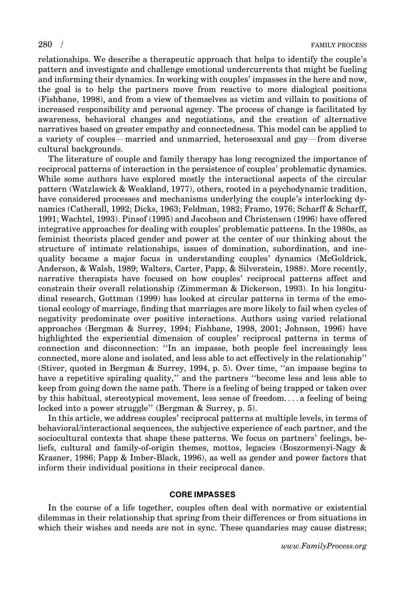relationships. We describe a therapeutic approach that helps to identify the couple's pattern and investigate and challenge emotional undercurrents that might be fueling and informing their dynamics. In working with couples' impasses in the here and now, the goal is to help the partners move from reactive to more dialogical positions (Fishbane, 1998), and from a view of themselves as victim and villain to positions of increased responsibility and personal agency. The process of change is facilitated by awareness, behavioral changes and negotiations, and the creation of alternative narratives based on greater empathy and connectedness. This model can be applied to a variety of couples—married and unmarried, heterosexual and gay—from diverse cultural backgrounds.

The literature of couple and family therapy has long recognized the importance of reciprocal patterns of interaction in the persistence of couples' problematic dynamics. While some authors have explored mostly the interactional aspects of the circular pattern (Watzlawick & Weakland, 1977), others, rooted in a psychodynamic tradition, have considered processes and mechanisms underlying the couple's interlocking dynamics (Catherall, 1992; Dicks, 1963; Feldman, 1982; Framo, 1976; Scharff & Scharff, 1991; Wachtel, 1993). Pinsof (1995) and Jacobson and Christensen (1996) have offered integrative approaches for dealing with couples' problematic patterns. In the 1980s, as feminist theorists placed gender and power at the center of our thinking about the structure of intimate relationships, issues of domination, subordination, and inequality became a major focus in understanding couples' dynamics (McGoldrick, Anderson, & Walsh, 1989; Walters, Carter, Papp, & Silverstein, 1988). More recently, narrative therapists have focused on how couples' reciprocal patterns affect and constrain their overall relationship (Zimmerman & Dickerson, 1993). In his longitudinal research, Gottman (1999) has looked at circular patterns in terms of the emotional ecology of marriage, finding that marriages are more likely to fail when cycles of negativity predominate over positive interactions. Authors using varied relational approaches (Bergman & Surrey, 1994; Fishbane, 1998, 2001; Johnson, 1996) have highlighted the experiential dimension of couples' reciprocal patterns in terms of connection and disconnection: ''In an impasse, both people feel increasingly less connected, more alone and isolated, and less able to act effectively in the relationship'' (Stiver, quoted in Bergman & Surrey, 1994, p. 5). Over time, ''an impasse begins to have a repetitive spiraling quality,'' and the partners ''become less and less able to keep from going down the same path. There is a feeling of being trapped or taken over by this habitual, stereotypical movement, less sense of freedom. . . . a feeling of being locked into a power struggle'' (Bergman & Surrey, p. 5).

In this article, we address couples' reciprocal patterns at multiple levels, in terms of behavioral/interactional sequences, the subjective experience of each partner, and the sociocultural contexts that shape these patterns. We focus on partners' feelings, beliefs, cultural and family-of-origin themes, mottos, legacies (Boszormenyi-Nagy & Krasner, 1986; Papp & Imber-Black, 1996), as well as gender and power factors that inform their individual positions in their reciprocal dance.

## CORE IMPASSES

In the course of a life together, couples often deal with normative or existential dilemmas in their relationship that spring from their differences or from situations in which their wishes and needs are not in sync. These quandaries may cause distress;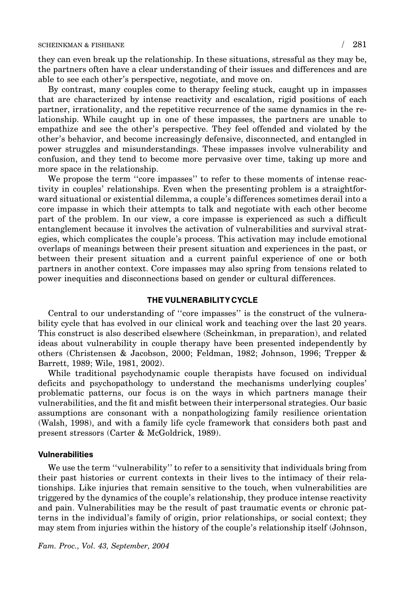they can even break up the relationship. In these situations, stressful as they may be, the partners often have a clear understanding of their issues and differences and are able to see each other's perspective, negotiate, and move on.

By contrast, many couples come to therapy feeling stuck, caught up in impasses that are characterized by intense reactivity and escalation, rigid positions of each partner, irrationality, and the repetitive recurrence of the same dynamics in the relationship. While caught up in one of these impasses, the partners are unable to empathize and see the other's perspective. They feel offended and violated by the other's behavior, and become increasingly defensive, disconnected, and entangled in power struggles and misunderstandings. These impasses involve vulnerability and confusion, and they tend to become more pervasive over time, taking up more and more space in the relationship.

We propose the term "core impasses" to refer to these moments of intense reactivity in couples' relationships. Even when the presenting problem is a straightforward situational or existential dilemma, a couple's differences sometimes derail into a core impasse in which their attempts to talk and negotiate with each other become part of the problem. In our view, a core impasse is experienced as such a difficult entanglement because it involves the activation of vulnerabilities and survival strategies, which complicates the couple's process. This activation may include emotional overlaps of meanings between their present situation and experiences in the past, or between their present situation and a current painful experience of one or both partners in another context. Core impasses may also spring from tensions related to power inequities and disconnections based on gender or cultural differences.

## THE VULNERABILITY CYCLE

Central to our understanding of ''core impasses'' is the construct of the vulnerability cycle that has evolved in our clinical work and teaching over the last 20 years. This construct is also described elsewhere (Scheinkman, in preparation), and related ideas about vulnerability in couple therapy have been presented independently by others (Christensen & Jacobson, 2000; Feldman, 1982; Johnson, 1996; Trepper & Barrett, 1989; Wile, 1981, 2002).

While traditional psychodynamic couple therapists have focused on individual deficits and psychopathology to understand the mechanisms underlying couples' problematic patterns, our focus is on the ways in which partners manage their vulnerabilities, and the fit and misfit between their interpersonal strategies. Our basic assumptions are consonant with a nonpathologizing family resilience orientation (Walsh, 1998), and with a family life cycle framework that considers both past and present stressors (Carter & McGoldrick, 1989).

## Vulnerabilities

We use the term ''vulnerability'' to refer to a sensitivity that individuals bring from their past histories or current contexts in their lives to the intimacy of their relationships. Like injuries that remain sensitive to the touch, when vulnerabilities are triggered by the dynamics of the couple's relationship, they produce intense reactivity and pain. Vulnerabilities may be the result of past traumatic events or chronic patterns in the individual's family of origin, prior relationships, or social context; they may stem from injuries within the history of the couple's relationship itself (Johnson,

Fam. Proc., Vol. 43, September, 2004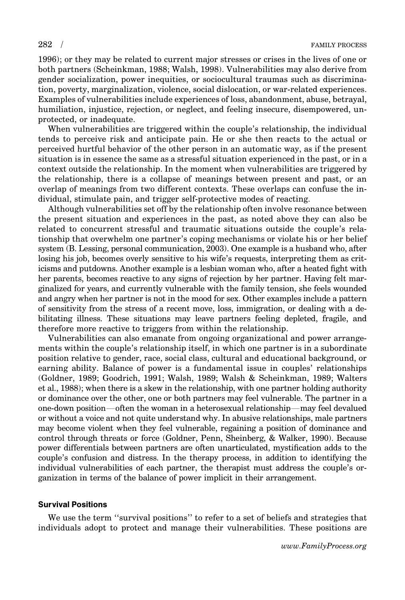1996); or they may be related to current major stresses or crises in the lives of one or both partners (Scheinkman, 1988; Walsh, 1998). Vulnerabilities may also derive from gender socialization, power inequities, or sociocultural traumas such as discrimination, poverty, marginalization, violence, social dislocation, or war-related experiences. Examples of vulnerabilities include experiences of loss, abandonment, abuse, betrayal, humiliation, injustice, rejection, or neglect, and feeling insecure, disempowered, unprotected, or inadequate.

When vulnerabilities are triggered within the couple's relationship, the individual tends to perceive risk and anticipate pain. He or she then reacts to the actual or perceived hurtful behavior of the other person in an automatic way, as if the present situation is in essence the same as a stressful situation experienced in the past, or in a context outside the relationship. In the moment when vulnerabilities are triggered by the relationship, there is a collapse of meanings between present and past, or an overlap of meanings from two different contexts. These overlaps can confuse the individual, stimulate pain, and trigger self-protective modes of reacting.

Although vulnerabilities set off by the relationship often involve resonance between the present situation and experiences in the past, as noted above they can also be related to concurrent stressful and traumatic situations outside the couple's relationship that overwhelm one partner's coping mechanisms or violate his or her belief system (B. Lessing, personal communication, 2003). One example is a husband who, after losing his job, becomes overly sensitive to his wife's requests, interpreting them as criticisms and putdowns. Another example is a lesbian woman who, after a heated fight with her parents, becomes reactive to any signs of rejection by her partner. Having felt marginalized for years, and currently vulnerable with the family tension, she feels wounded and angry when her partner is not in the mood for sex. Other examples include a pattern of sensitivity from the stress of a recent move, loss, immigration, or dealing with a debilitating illness. These situations may leave partners feeling depleted, fragile, and therefore more reactive to triggers from within the relationship.

Vulnerabilities can also emanate from ongoing organizational and power arrangements within the couple's relationship itself, in which one partner is in a subordinate position relative to gender, race, social class, cultural and educational background, or earning ability. Balance of power is a fundamental issue in couples' relationships (Goldner, 1989; Goodrich, 1991; Walsh, 1989; Walsh & Scheinkman, 1989; Walters et al., 1988); when there is a skew in the relationship, with one partner holding authority or dominance over the other, one or both partners may feel vulnerable. The partner in a one-down position—often the woman in a heterosexual relationship—may feel devalued or without a voice and not quite understand why. In abusive relationships, male partners may become violent when they feel vulnerable, regaining a position of dominance and control through threats or force (Goldner, Penn, Sheinberg, & Walker, 1990). Because power differentials between partners are often unarticulated, mystification adds to the couple's confusion and distress. In the therapy process, in addition to identifying the individual vulnerabilities of each partner, the therapist must address the couple's organization in terms of the balance of power implicit in their arrangement.

## Survival Positions

We use the term ''survival positions'' to refer to a set of beliefs and strategies that individuals adopt to protect and manage their vulnerabilities. These positions are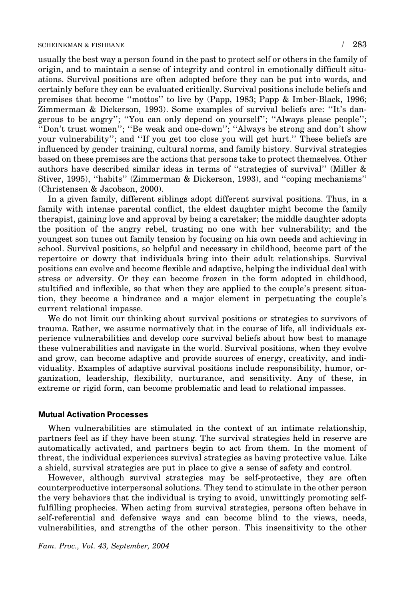usually the best way a person found in the past to protect self or others in the family of origin, and to maintain a sense of integrity and control in emotionally difficult situations. Survival positions are often adopted before they can be put into words, and certainly before they can be evaluated critically. Survival positions include beliefs and premises that become ''mottos'' to live by (Papp, 1983; Papp & Imber-Black, 1996; Zimmerman & Dickerson, 1993). Some examples of survival beliefs are: ''It's dangerous to be angry''; ''You can only depend on yourself''; ''Always please people''; ''Don't trust women''; ''Be weak and one-down''; ''Always be strong and don't show your vulnerability''; and ''If you get too close you will get hurt.'' These beliefs are influenced by gender training, cultural norms, and family history. Survival strategies based on these premises are the actions that persons take to protect themselves. Other authors have described similar ideas in terms of ''strategies of survival'' (Miller & Stiver, 1995), ''habits'' (Zimmerman & Dickerson, 1993), and ''coping mechanisms'' (Christensen & Jacobson, 2000).

In a given family, different siblings adopt different survival positions. Thus, in a family with intense parental conflict, the eldest daughter might become the family therapist, gaining love and approval by being a caretaker; the middle daughter adopts the position of the angry rebel, trusting no one with her vulnerability; and the youngest son tunes out family tension by focusing on his own needs and achieving in school. Survival positions, so helpful and necessary in childhood, become part of the repertoire or dowry that individuals bring into their adult relationships. Survival positions can evolve and become flexible and adaptive, helping the individual deal with stress or adversity. Or they can become frozen in the form adopted in childhood, stultified and inflexible, so that when they are applied to the couple's present situation, they become a hindrance and a major element in perpetuating the couple's current relational impasse.

We do not limit our thinking about survival positions or strategies to survivors of trauma. Rather, we assume normatively that in the course of life, all individuals experience vulnerabilities and develop core survival beliefs about how best to manage these vulnerabilities and navigate in the world. Survival positions, when they evolve and grow, can become adaptive and provide sources of energy, creativity, and individuality. Examples of adaptive survival positions include responsibility, humor, organization, leadership, flexibility, nurturance, and sensitivity. Any of these, in extreme or rigid form, can become problematic and lead to relational impasses.

## Mutual Activation Processes

When vulnerabilities are stimulated in the context of an intimate relationship, partners feel as if they have been stung. The survival strategies held in reserve are automatically activated, and partners begin to act from them. In the moment of threat, the individual experiences survival strategies as having protective value. Like a shield, survival strategies are put in place to give a sense of safety and control.

However, although survival strategies may be self-protective, they are often counterproductive interpersonal solutions. They tend to stimulate in the other person the very behaviors that the individual is trying to avoid, unwittingly promoting selffulfilling prophecies. When acting from survival strategies, persons often behave in self-referential and defensive ways and can become blind to the views, needs, vulnerabilities, and strengths of the other person. This insensitivity to the other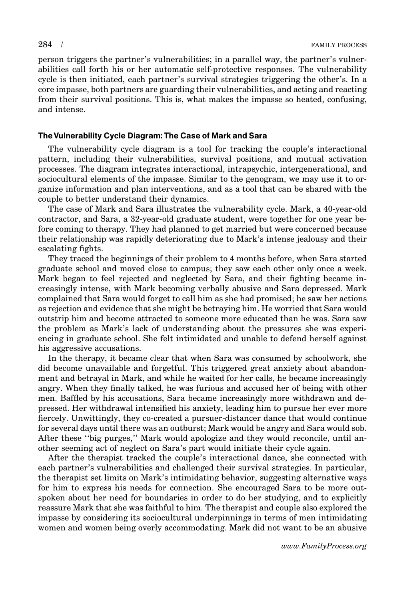person triggers the partner's vulnerabilities; in a parallel way, the partner's vulnerabilities call forth his or her automatic self-protective responses. The vulnerability cycle is then initiated, each partner's survival strategies triggering the other's. In a core impasse, both partners are guarding their vulnerabilities, and acting and reacting from their survival positions. This is, what makes the impasse so heated, confusing, and intense.

## The Vulnerability Cycle Diagram: The Case of Mark and Sara

The vulnerability cycle diagram is a tool for tracking the couple's interactional pattern, including their vulnerabilities, survival positions, and mutual activation processes. The diagram integrates interactional, intrapsychic, intergenerational, and sociocultural elements of the impasse. Similar to the genogram, we may use it to organize information and plan interventions, and as a tool that can be shared with the couple to better understand their dynamics.

The case of Mark and Sara illustrates the vulnerability cycle. Mark, a 40-year-old contractor, and Sara, a 32-year-old graduate student, were together for one year before coming to therapy. They had planned to get married but were concerned because their relationship was rapidly deteriorating due to Mark's intense jealousy and their escalating fights.

They traced the beginnings of their problem to 4 months before, when Sara started graduate school and moved close to campus; they saw each other only once a week. Mark began to feel rejected and neglected by Sara, and their fighting became increasingly intense, with Mark becoming verbally abusive and Sara depressed. Mark complained that Sara would forget to call him as she had promised; he saw her actions as rejection and evidence that she might be betraying him. He worried that Sara would outstrip him and become attracted to someone more educated than he was. Sara saw the problem as Mark's lack of understanding about the pressures she was experiencing in graduate school. She felt intimidated and unable to defend herself against his aggressive accusations.

In the therapy, it became clear that when Sara was consumed by schoolwork, she did become unavailable and forgetful. This triggered great anxiety about abandonment and betrayal in Mark, and while he waited for her calls, he became increasingly angry. When they finally talked, he was furious and accused her of being with other men. Baffled by his accusations, Sara became increasingly more withdrawn and depressed. Her withdrawal intensified his anxiety, leading him to pursue her ever more fiercely. Unwittingly, they co-created a pursuer-distancer dance that would continue for several days until there was an outburst; Mark would be angry and Sara would sob. After these ''big purges,'' Mark would apologize and they would reconcile, until another seeming act of neglect on Sara's part would initiate their cycle again.

After the therapist tracked the couple's interactional dance, she connected with each partner's vulnerabilities and challenged their survival strategies. In particular, the therapist set limits on Mark's intimidating behavior, suggesting alternative ways for him to express his needs for connection. She encouraged Sara to be more outspoken about her need for boundaries in order to do her studying, and to explicitly reassure Mark that she was faithful to him. The therapist and couple also explored the impasse by considering its sociocultural underpinnings in terms of men intimidating women and women being overly accommodating. Mark did not want to be an abusive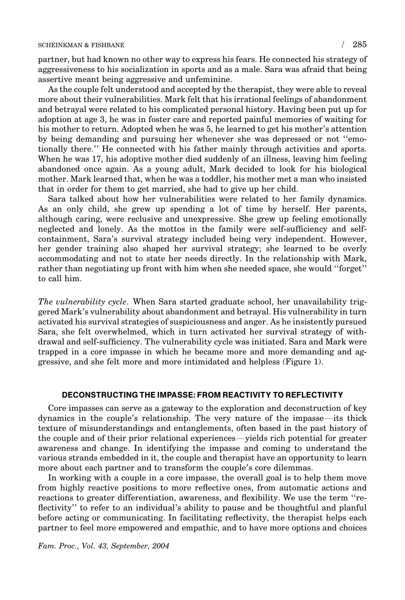partner, but had known no other way to express his fears. He connected his strategy of aggressiveness to his socialization in sports and as a male. Sara was afraid that being assertive meant being aggressive and unfeminine.

As the couple felt understood and accepted by the therapist, they were able to reveal more about their vulnerabilities. Mark felt that his irrational feelings of abandonment and betrayal were related to his complicated personal history. Having been put up for adoption at age 3, he was in foster care and reported painful memories of waiting for his mother to return. Adopted when he was 5, he learned to get his mother's attention by being demanding and pursuing her whenever she was depressed or not ''emotionally there.'' He connected with his father mainly through activities and sports. When he was 17, his adoptive mother died suddenly of an illness, leaving him feeling abandoned once again. As a young adult, Mark decided to look for his biological mother. Mark learned that, when he was a toddler, his mother met a man who insisted that in order for them to get married, she had to give up her child.

Sara talked about how her vulnerabilities were related to her family dynamics. As an only child, she grew up spending a lot of time by herself. Her parents, although caring, were reclusive and unexpressive. She grew up feeling emotionally neglected and lonely. As the mottos in the family were self-sufficiency and selfcontainment, Sara's survival strategy included being very independent. However, her gender training also shaped her survival strategy; she learned to be overly accommodating and not to state her needs directly. In the relationship with Mark, rather than negotiating up front with him when she needed space, she would ''forget'' to call him.

The vulnerability cycle. When Sara started graduate school, her unavailability triggered Mark's vulnerability about abandonment and betrayal. His vulnerability in turn activated his survival strategies of suspiciousness and anger. As he insistently pursued Sara, she felt overwhelmed, which in turn activated her survival strategy of withdrawal and self-sufficiency. The vulnerability cycle was initiated. Sara and Mark were trapped in a core impasse in which he became more and more demanding and aggressive, and she felt more and more intimidated and helpless (Figure 1).

## DECONSTRUCTING THE IMPASSE: FROM REACTIVITY TO REFLECTIVITY

Core impasses can serve as a gateway to the exploration and deconstruction of key dynamics in the couple's relationship. The very nature of the impasse—its thick texture of misunderstandings and entanglements, often based in the past history of the couple and of their prior relational experiences—yields rich potential for greater awareness and change. In identifying the impasse and coming to understand the various strands embedded in it, the couple and therapist have an opportunity to learn more about each partner and to transform the couple's core dilemmas.

In working with a couple in a core impasse, the overall goal is to help them move from highly reactive positions to more reflective ones, from automatic actions and reactions to greater differentiation, awareness, and flexibility. We use the term ''reflectivity'' to refer to an individual's ability to pause and be thoughtful and planful before acting or communicating. In facilitating reflectivity, the therapist helps each partner to feel more empowered and empathic, and to have more options and choices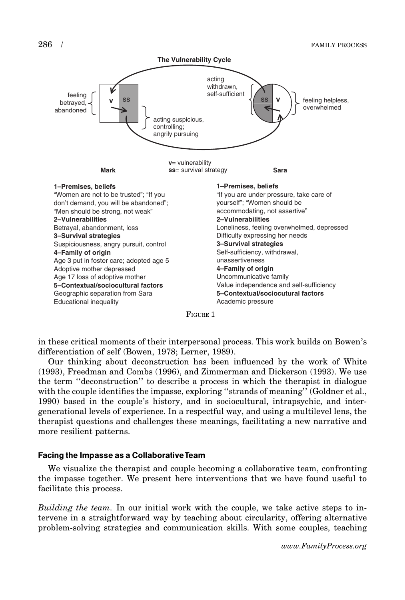

FIGURE 1

in these critical moments of their interpersonal process. This work builds on Bowen's differentiation of self (Bowen, 1978; Lerner, 1989).

Our thinking about deconstruction has been influenced by the work of White (1993), Freedman and Combs (1996), and Zimmerman and Dickerson (1993). We use the term ''deconstruction'' to describe a process in which the therapist in dialogue with the couple identifies the impasse, exploring ''strands of meaning'' (Goldner et al., 1990) based in the couple's history, and in sociocultural, intrapsychic, and intergenerational levels of experience. In a respectful way, and using a multilevel lens, the therapist questions and challenges these meanings, facilitating a new narrative and more resilient patterns.

## Facing the Impasse as a CollaborativeTeam

We visualize the therapist and couple becoming a collaborative team, confronting the impasse together. We present here interventions that we have found useful to facilitate this process.

Building the team. In our initial work with the couple, we take active steps to intervene in a straightforward way by teaching about circularity, offering alternative problem-solving strategies and communication skills. With some couples, teaching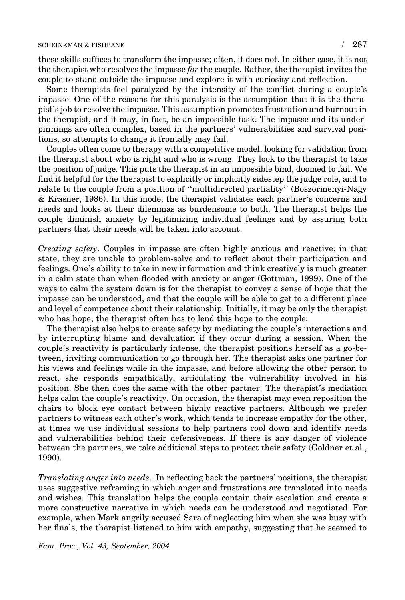these skills suffices to transform the impasse; often, it does not. In either case, it is not the therapist who resolves the impasse for the couple. Rather, the therapist invites the couple to stand outside the impasse and explore it with curiosity and reflection.

Some therapists feel paralyzed by the intensity of the conflict during a couple's impasse. One of the reasons for this paralysis is the assumption that it is the therapist's job to resolve the impasse. This assumption promotes frustration and burnout in the therapist, and it may, in fact, be an impossible task. The impasse and its underpinnings are often complex, based in the partners' vulnerabilities and survival positions, so attempts to change it frontally may fail.

Couples often come to therapy with a competitive model, looking for validation from the therapist about who is right and who is wrong. They look to the therapist to take the position of judge. This puts the therapist in an impossible bind, doomed to fail. We find it helpful for the therapist to explicitly or implicitly sidestep the judge role, and to relate to the couple from a position of ''multidirected partiality'' (Boszormenyi-Nagy & Krasner, 1986). In this mode, the therapist validates each partner's concerns and needs and looks at their dilemmas as burdensome to both. The therapist helps the couple diminish anxiety by legitimizing individual feelings and by assuring both partners that their needs will be taken into account.

Creating safety. Couples in impasse are often highly anxious and reactive; in that state, they are unable to problem-solve and to reflect about their participation and feelings. One's ability to take in new information and think creatively is much greater in a calm state than when flooded with anxiety or anger (Gottman, 1999). One of the ways to calm the system down is for the therapist to convey a sense of hope that the impasse can be understood, and that the couple will be able to get to a different place and level of competence about their relationship. Initially, it may be only the therapist who has hope; the therapist often has to lend this hope to the couple.

The therapist also helps to create safety by mediating the couple's interactions and by interrupting blame and devaluation if they occur during a session. When the couple's reactivity is particularly intense, the therapist positions herself as a go-between, inviting communication to go through her. The therapist asks one partner for his views and feelings while in the impasse, and before allowing the other person to react, she responds empathically, articulating the vulnerability involved in his position. She then does the same with the other partner. The therapist's mediation helps calm the couple's reactivity. On occasion, the therapist may even reposition the chairs to block eye contact between highly reactive partners. Although we prefer partners to witness each other's work, which tends to increase empathy for the other, at times we use individual sessions to help partners cool down and identify needs and vulnerabilities behind their defensiveness. If there is any danger of violence between the partners, we take additional steps to protect their safety (Goldner et al., 1990).

Translating anger into needs. In reflecting back the partners' positions, the therapist uses suggestive reframing in which anger and frustrations are translated into needs and wishes. This translation helps the couple contain their escalation and create a more constructive narrative in which needs can be understood and negotiated. For example, when Mark angrily accused Sara of neglecting him when she was busy with her finals, the therapist listened to him with empathy, suggesting that he seemed to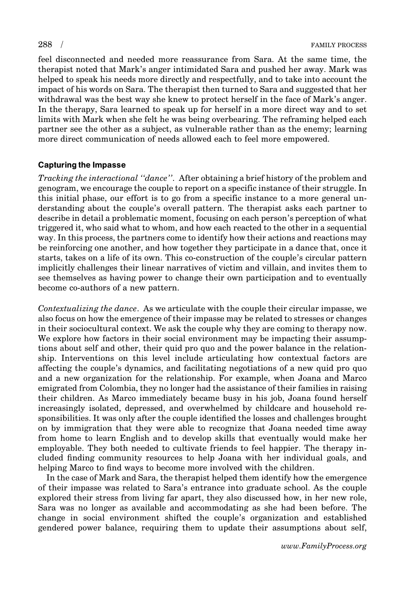feel disconnected and needed more reassurance from Sara. At the same time, the therapist noted that Mark's anger intimidated Sara and pushed her away. Mark was helped to speak his needs more directly and respectfully, and to take into account the impact of his words on Sara. The therapist then turned to Sara and suggested that her withdrawal was the best way she knew to protect herself in the face of Mark's anger. In the therapy, Sara learned to speak up for herself in a more direct way and to set limits with Mark when she felt he was being overbearing. The reframing helped each partner see the other as a subject, as vulnerable rather than as the enemy; learning more direct communication of needs allowed each to feel more empowered.

## Capturing the Impasse

Tracking the interactional ''dance''. After obtaining a brief history of the problem and genogram, we encourage the couple to report on a specific instance of their struggle. In this initial phase, our effort is to go from a specific instance to a more general understanding about the couple's overall pattern. The therapist asks each partner to describe in detail a problematic moment, focusing on each person's perception of what triggered it, who said what to whom, and how each reacted to the other in a sequential way. In this process, the partners come to identify how their actions and reactions may be reinforcing one another, and how together they participate in a dance that, once it starts, takes on a life of its own. This co-construction of the couple's circular pattern implicitly challenges their linear narratives of victim and villain, and invites them to see themselves as having power to change their own participation and to eventually become co-authors of a new pattern.

Contextualizing the dance. As we articulate with the couple their circular impasse, we also focus on how the emergence of their impasse may be related to stresses or changes in their sociocultural context. We ask the couple why they are coming to therapy now. We explore how factors in their social environment may be impacting their assumptions about self and other, their quid pro quo and the power balance in the relationship. Interventions on this level include articulating how contextual factors are affecting the couple's dynamics, and facilitating negotiations of a new quid pro quo and a new organization for the relationship. For example, when Joana and Marco emigrated from Colombia, they no longer had the assistance of their families in raising their children. As Marco immediately became busy in his job, Joana found herself increasingly isolated, depressed, and overwhelmed by childcare and household responsibilities. It was only after the couple identified the losses and challenges brought on by immigration that they were able to recognize that Joana needed time away from home to learn English and to develop skills that eventually would make her employable. They both needed to cultivate friends to feel happier. The therapy included finding community resources to help Joana with her individual goals, and helping Marco to find ways to become more involved with the children.

In the case of Mark and Sara, the therapist helped them identify how the emergence of their impasse was related to Sara's entrance into graduate school. As the couple explored their stress from living far apart, they also discussed how, in her new role, Sara was no longer as available and accommodating as she had been before. The change in social environment shifted the couple's organization and established gendered power balance, requiring them to update their assumptions about self,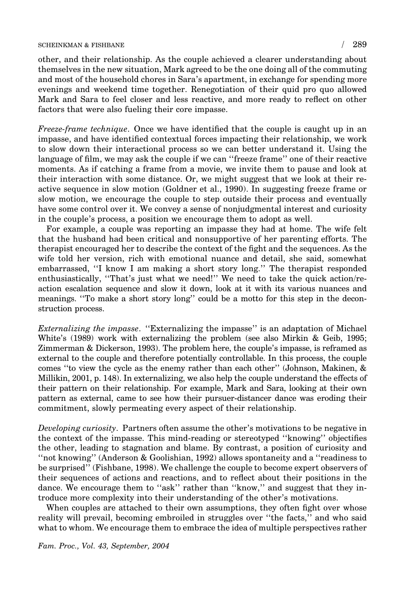## SCHEINKMAN & FISHBANE *289*

other, and their relationship. As the couple achieved a clearer understanding about themselves in the new situation, Mark agreed to be the one doing all of the commuting and most of the household chores in Sara's apartment, in exchange for spending more evenings and weekend time together. Renegotiation of their quid pro quo allowed Mark and Sara to feel closer and less reactive, and more ready to reflect on other factors that were also fueling their core impasse.

Freeze-frame technique. Once we have identified that the couple is caught up in an impasse, and have identified contextual forces impacting their relationship, we work to slow down their interactional process so we can better understand it. Using the language of film, we may ask the couple if we can "freeze frame" one of their reactive moments. As if catching a frame from a movie, we invite them to pause and look at their interaction with some distance. Or, we might suggest that we look at their reactive sequence in slow motion (Goldner et al., 1990). In suggesting freeze frame or slow motion, we encourage the couple to step outside their process and eventually have some control over it. We convey a sense of nonjudgmental interest and curiosity in the couple's process, a position we encourage them to adopt as well.

For example, a couple was reporting an impasse they had at home. The wife felt that the husband had been critical and nonsupportive of her parenting efforts. The therapist encouraged her to describe the context of the fight and the sequences. As the wife told her version, rich with emotional nuance and detail, she said, somewhat embarrassed, ''I know I am making a short story long.'' The therapist responded enthusiastically, ''That's just what we need!'' We need to take the quick action/reaction escalation sequence and slow it down, look at it with its various nuances and meanings. ''To make a short story long'' could be a motto for this step in the deconstruction process.

Externalizing the impasse. "Externalizing the impasse" is an adaptation of Michael White's (1989) work with externalizing the problem (see also Mirkin & Geib, 1995; Zimmerman & Dickerson, 1993). The problem here, the couple's impasse, is reframed as external to the couple and therefore potentially controllable. In this process, the couple comes ''to view the cycle as the enemy rather than each other'' (Johnson, Makinen, & Millikin, 2001, p. 148). In externalizing, we also help the couple understand the effects of their pattern on their relationship. For example, Mark and Sara, looking at their own pattern as external, came to see how their pursuer-distancer dance was eroding their commitment, slowly permeating every aspect of their relationship.

Developing curiosity. Partners often assume the other's motivations to be negative in the context of the impasse. This mind-reading or stereotyped ''knowing'' objectifies the other, leading to stagnation and blame. By contrast, a position of curiosity and ''not knowing'' (Anderson & Goolishian, 1992) allows spontaneity and a ''readiness to be surprised'' (Fishbane, 1998). We challenge the couple to become expert observers of their sequences of actions and reactions, and to reflect about their positions in the dance. We encourage them to ''ask'' rather than ''know,'' and suggest that they introduce more complexity into their understanding of the other's motivations.

When couples are attached to their own assumptions, they often fight over whose reality will prevail, becoming embroiled in struggles over ''the facts,'' and who said what to whom. We encourage them to embrace the idea of multiple perspectives rather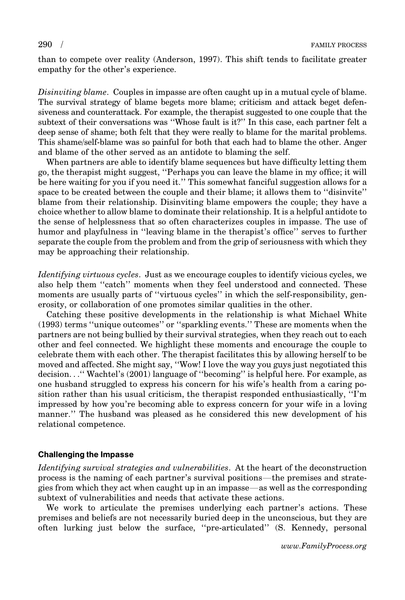than to compete over reality (Anderson, 1997). This shift tends to facilitate greater empathy for the other's experience.

Disinviting blame. Couples in impasse are often caught up in a mutual cycle of blame. The survival strategy of blame begets more blame; criticism and attack beget defensiveness and counterattack. For example, the therapist suggested to one couple that the subtext of their conversations was ''Whose fault is it?'' In this case, each partner felt a deep sense of shame; both felt that they were really to blame for the marital problems. This shame/self-blame was so painful for both that each had to blame the other. Anger and blame of the other served as an antidote to blaming the self.

When partners are able to identify blame sequences but have difficulty letting them go, the therapist might suggest, ''Perhaps you can leave the blame in my office; it will be here waiting for you if you need it.'' This somewhat fanciful suggestion allows for a space to be created between the couple and their blame; it allows them to ''disinvite'' blame from their relationship. Disinviting blame empowers the couple; they have a choice whether to allow blame to dominate their relationship. It is a helpful antidote to the sense of helplessness that so often characterizes couples in impasse. The use of humor and playfulness in ''leaving blame in the therapist's office'' serves to further separate the couple from the problem and from the grip of seriousness with which they may be approaching their relationship.

Identifying virtuous cycles. Just as we encourage couples to identify vicious cycles, we also help them ''catch'' moments when they feel understood and connected. These moments are usually parts of ''virtuous cycles'' in which the self-responsibility, generosity, or collaboration of one promotes similar qualities in the other.

Catching these positive developments in the relationship is what Michael White (1993) terms ''unique outcomes'' or ''sparkling events.'' These are moments when the partners are not being bullied by their survival strategies, when they reach out to each other and feel connected. We highlight these moments and encourage the couple to celebrate them with each other. The therapist facilitates this by allowing herself to be moved and affected. She might say, ''Wow! I love the way you guys just negotiated this decision. . .'' Wachtel's (2001) language of ''becoming'' is helpful here. For example, as one husband struggled to express his concern for his wife's health from a caring position rather than his usual criticism, the therapist responded enthusiastically, ''I'm impressed by how you're becoming able to express concern for your wife in a loving manner.'' The husband was pleased as he considered this new development of his relational competence.

## Challenging the Impasse

Identifying survival strategies and vulnerabilities. At the heart of the deconstruction process is the naming of each partner's survival positions—the premises and strategies from which they act when caught up in an impasse—as well as the corresponding subtext of vulnerabilities and needs that activate these actions.

We work to articulate the premises underlying each partner's actions. These premises and beliefs are not necessarily buried deep in the unconscious, but they are often lurking just below the surface, ''pre-articulated'' (S. Kennedy, personal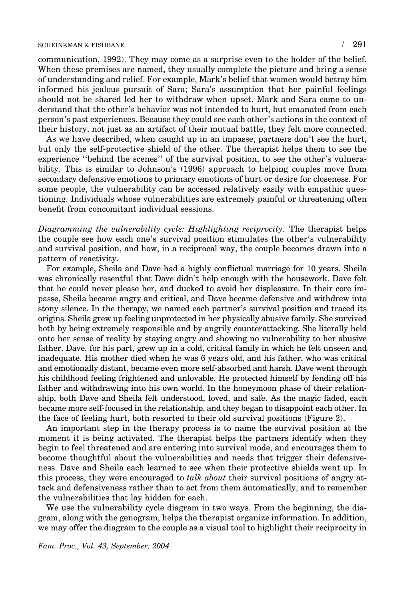communication, 1992). They may come as a surprise even to the holder of the belief. When these premises are named, they usually complete the picture and bring a sense of understanding and relief. For example, Mark's belief that women would betray him informed his jealous pursuit of Sara; Sara's assumption that her painful feelings should not be shared led her to withdraw when upset. Mark and Sara came to understand that the other's behavior was not intended to hurt, but emanated from each person's past experiences. Because they could see each other's actions in the context of their history, not just as an artifact of their mutual battle, they felt more connected.

As we have described, when caught up in an impasse, partners don't see the hurt, but only the self-protective shield of the other. The therapist helps them to see the experience ''behind the scenes'' of the survival position, to see the other's vulnerability. This is similar to Johnson's (1996) approach to helping couples move from secondary defensive emotions to primary emotions of hurt or desire for closeness. For some people, the vulnerability can be accessed relatively easily with empathic questioning. Individuals whose vulnerabilities are extremely painful or threatening often benefit from concomitant individual sessions.

Diagramming the vulnerability cycle: Highlighting reciprocity. The therapist helps the couple see how each one's survival position stimulates the other's vulnerability and survival position, and how, in a reciprocal way, the couple becomes drawn into a pattern of reactivity.

For example, Sheila and Dave had a highly conflictual marriage for 10 years. Sheila was chronically resentful that Dave didn't help enough with the housework. Dave felt that he could never please her, and ducked to avoid her displeasure. In their core impasse, Sheila became angry and critical, and Dave became defensive and withdrew into stony silence. In the therapy, we named each partner's survival position and traced its origins. Sheila grew up feeling unprotected in her physically abusive family. She survived both by being extremely responsible and by angrily counterattacking. She literally held onto her sense of reality by staying angry and showing no vulnerability to her abusive father. Dave, for his part, grew up in a cold, critical family in which he felt unseen and inadequate. His mother died when he was 6 years old, and his father, who was critical and emotionally distant, became even more self-absorbed and harsh. Dave went through his childhood feeling frightened and unlovable. He protected himself by fending off his father and withdrawing into his own world. In the honeymoon phase of their relationship, both Dave and Sheila felt understood, loved, and safe. As the magic faded, each became more self-focused in the relationship, and they began to disappoint each other. In the face of feeling hurt, both resorted to their old survival positions (Figure 2).

An important step in the therapy process is to name the survival position at the moment it is being activated. The therapist helps the partners identify when they begin to feel threatened and are entering into survival mode, and encourages them to become thoughtful about the vulnerabilities and needs that trigger their defensiveness. Dave and Sheila each learned to see when their protective shields went up. In this process, they were encouraged to *talk about* their survival positions of angry attack and defensiveness rather than to act from them automatically, and to remember the vulnerabilities that lay hidden for each.

We use the vulnerability cycle diagram in two ways. From the beginning, the diagram, along with the genogram, helps the therapist organize information. In addition, we may offer the diagram to the couple as a visual tool to highlight their reciprocity in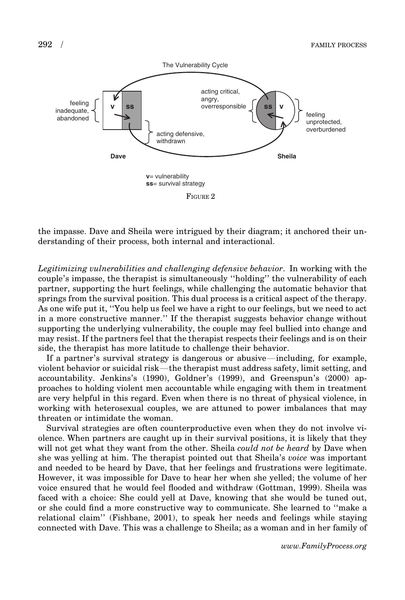

the impasse. Dave and Sheila were intrigued by their diagram; it anchored their understanding of their process, both internal and interactional.

Legitimizing vulnerabilities and challenging defensive behavior. In working with the couple's impasse, the therapist is simultaneously ''holding'' the vulnerability of each partner, supporting the hurt feelings, while challenging the automatic behavior that springs from the survival position. This dual process is a critical aspect of the therapy. As one wife put it, ''You help us feel we have a right to our feelings, but we need to act in a more constructive manner.'' If the therapist suggests behavior change without supporting the underlying vulnerability, the couple may feel bullied into change and may resist. If the partners feel that the therapist respects their feelings and is on their side, the therapist has more latitude to challenge their behavior.

If a partner's survival strategy is dangerous or abusive—including, for example, violent behavior or suicidal risk—the therapist must address safety, limit setting, and accountability. Jenkins's (1990), Goldner's (1999), and Greenspun's (2000) approaches to holding violent men accountable while engaging with them in treatment are very helpful in this regard. Even when there is no threat of physical violence, in working with heterosexual couples, we are attuned to power imbalances that may threaten or intimidate the woman.

Survival strategies are often counterproductive even when they do not involve violence. When partners are caught up in their survival positions, it is likely that they will not get what they want from the other. Sheila *could not be heard* by Dave when she was yelling at him. The therapist pointed out that Sheila's voice was important and needed to be heard by Dave, that her feelings and frustrations were legitimate. However, it was impossible for Dave to hear her when she yelled; the volume of her voice ensured that he would feel flooded and withdraw (Gottman, 1999). Sheila was faced with a choice: She could yell at Dave, knowing that she would be tuned out, or she could find a more constructive way to communicate. She learned to ''make a relational claim'' (Fishbane, 2001), to speak her needs and feelings while staying connected with Dave. This was a challenge to Sheila; as a woman and in her family of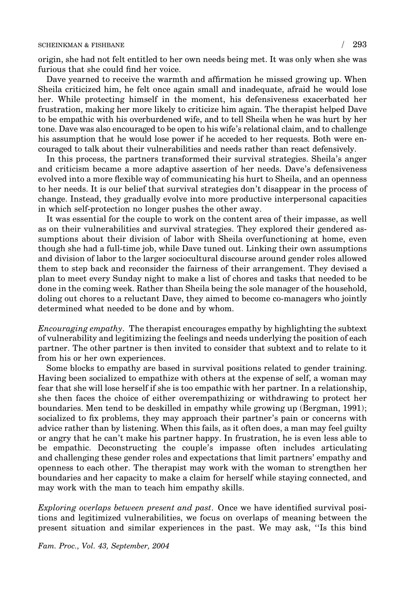origin, she had not felt entitled to her own needs being met. It was only when she was furious that she could find her voice.

Dave yearned to receive the warmth and affirmation he missed growing up. When Sheila criticized him, he felt once again small and inadequate, afraid he would lose her. While protecting himself in the moment, his defensiveness exacerbated her frustration, making her more likely to criticize him again. The therapist helped Dave to be empathic with his overburdened wife, and to tell Sheila when he was hurt by her tone. Dave was also encouraged to be open to his wife's relational claim, and to challenge his assumption that he would lose power if he acceded to her requests. Both were encouraged to talk about their vulnerabilities and needs rather than react defensively.

In this process, the partners transformed their survival strategies. Sheila's anger and criticism became a more adaptive assertion of her needs. Dave's defensiveness evolved into a more flexible way of communicating his hurt to Sheila, and an openness to her needs. It is our belief that survival strategies don't disappear in the process of change. Instead, they gradually evolve into more productive interpersonal capacities in which self-protection no longer pushes the other away.

It was essential for the couple to work on the content area of their impasse, as well as on their vulnerabilities and survival strategies. They explored their gendered assumptions about their division of labor with Sheila overfunctioning at home, even though she had a full-time job, while Dave tuned out. Linking their own assumptions and division of labor to the larger sociocultural discourse around gender roles allowed them to step back and reconsider the fairness of their arrangement. They devised a plan to meet every Sunday night to make a list of chores and tasks that needed to be done in the coming week. Rather than Sheila being the sole manager of the household, doling out chores to a reluctant Dave, they aimed to become co-managers who jointly determined what needed to be done and by whom.

Encouraging empathy. The therapist encourages empathy by highlighting the subtext of vulnerability and legitimizing the feelings and needs underlying the position of each partner. The other partner is then invited to consider that subtext and to relate to it from his or her own experiences.

Some blocks to empathy are based in survival positions related to gender training. Having been socialized to empathize with others at the expense of self, a woman may fear that she will lose herself if she is too empathic with her partner. In a relationship, she then faces the choice of either overempathizing or withdrawing to protect her boundaries. Men tend to be deskilled in empathy while growing up (Bergman, 1991); socialized to fix problems, they may approach their partner's pain or concerns with advice rather than by listening. When this fails, as it often does, a man may feel guilty or angry that he can't make his partner happy. In frustration, he is even less able to be empathic. Deconstructing the couple's impasse often includes articulating and challenging these gender roles and expectations that limit partners' empathy and openness to each other. The therapist may work with the woman to strengthen her boundaries and her capacity to make a claim for herself while staying connected, and may work with the man to teach him empathy skills.

Exploring overlaps between present and past. Once we have identified survival positions and legitimized vulnerabilities, we focus on overlaps of meaning between the present situation and similar experiences in the past. We may ask, ''Is this bind

Fam. Proc., Vol. 43, September, 2004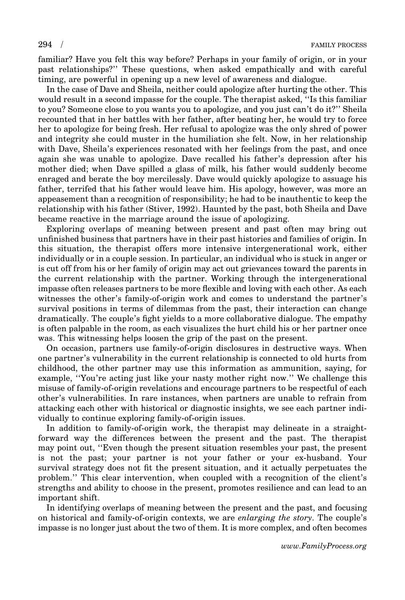familiar? Have you felt this way before? Perhaps in your family of origin, or in your past relationships?'' These questions, when asked empathically and with careful timing, are powerful in opening up a new level of awareness and dialogue.

In the case of Dave and Sheila, neither could apologize after hurting the other. This would result in a second impasse for the couple. The therapist asked, ''Is this familiar to you? Someone close to you wants you to apologize, and you just can't do it?'' Sheila recounted that in her battles with her father, after beating her, he would try to force her to apologize for being fresh. Her refusal to apologize was the only shred of power and integrity she could muster in the humiliation she felt. Now, in her relationship with Dave, Sheila's experiences resonated with her feelings from the past, and once again she was unable to apologize. Dave recalled his father's depression after his mother died; when Dave spilled a glass of milk, his father would suddenly become enraged and berate the boy mercilessly. Dave would quickly apologize to assuage his father, terrifed that his father would leave him. His apology, however, was more an appeasement than a recognition of responsibility; he had to be inauthentic to keep the relationship with his father (Stiver, 1992). Haunted by the past, both Sheila and Dave became reactive in the marriage around the issue of apologizing.

Exploring overlaps of meaning between present and past often may bring out unfinished business that partners have in their past histories and families of origin. In this situation, the therapist offers more intensive intergenerational work, either individually or in a couple session. In particular, an individual who is stuck in anger or is cut off from his or her family of origin may act out grievances toward the parents in the current relationship with the partner. Working through the intergenerational impasse often releases partners to be more flexible and loving with each other. As each witnesses the other's family-of-origin work and comes to understand the partner's survival positions in terms of dilemmas from the past, their interaction can change dramatically. The couple's fight yields to a more collaborative dialogue. The empathy is often palpable in the room, as each visualizes the hurt child his or her partner once was. This witnessing helps loosen the grip of the past on the present.

On occasion, partners use family-of-origin disclosures in destructive ways. When one partner's vulnerability in the current relationship is connected to old hurts from childhood, the other partner may use this information as ammunition, saying, for example, ''You're acting just like your nasty mother right now.'' We challenge this misuse of family-of-origin revelations and encourage partners to be respectful of each other's vulnerabilities. In rare instances, when partners are unable to refrain from attacking each other with historical or diagnostic insights, we see each partner individually to continue exploring family-of-origin issues.

In addition to family-of-origin work, the therapist may delineate in a straightforward way the differences between the present and the past. The therapist may point out, ''Even though the present situation resembles your past, the present is not the past; your partner is not your father or your ex-husband. Your survival strategy does not fit the present situation, and it actually perpetuates the problem.'' This clear intervention, when coupled with a recognition of the client's strengths and ability to choose in the present, promotes resilience and can lead to an important shift.

In identifying overlaps of meaning between the present and the past, and focusing on historical and family-of-origin contexts, we are enlarging the story. The couple's impasse is no longer just about the two of them. It is more complex, and often becomes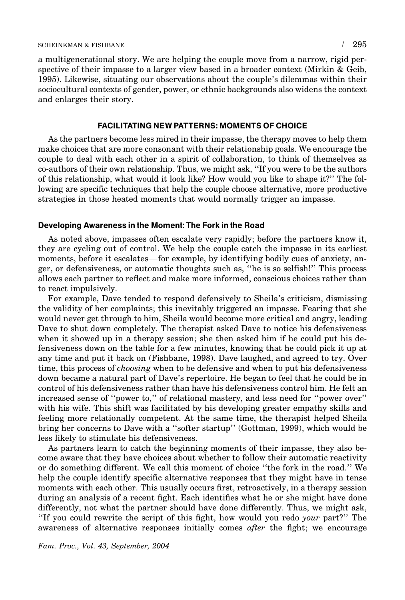a multigenerational story. We are helping the couple move from a narrow, rigid perspective of their impasse to a larger view based in a broader context (Mirkin & Geib, 1995). Likewise, situating our observations about the couple's dilemmas within their sociocultural contexts of gender, power, or ethnic backgrounds also widens the context and enlarges their story.

## FACILITATING NEW PATTERNS: MOMENTS OF CHOICE

As the partners become less mired in their impasse, the therapy moves to help them make choices that are more consonant with their relationship goals. We encourage the couple to deal with each other in a spirit of collaboration, to think of themselves as co-authors of their own relationship. Thus, we might ask, ''If you were to be the authors of this relationship, what would it look like? How would you like to shape it?'' The following are specific techniques that help the couple choose alternative, more productive strategies in those heated moments that would normally trigger an impasse.

### Developing Awareness in the Moment: The Fork in the Road

As noted above, impasses often escalate very rapidly; before the partners know it, they are cycling out of control. We help the couple catch the impasse in its earliest moments, before it escalates—for example, by identifying bodily cues of anxiety, anger, or defensiveness, or automatic thoughts such as, ''he is so selfish!'' This process allows each partner to reflect and make more informed, conscious choices rather than to react impulsively.

For example, Dave tended to respond defensively to Sheila's criticism, dismissing the validity of her complaints; this inevitably triggered an impasse. Fearing that she would never get through to him, Sheila would become more critical and angry, leading Dave to shut down completely. The therapist asked Dave to notice his defensiveness when it showed up in a therapy session; she then asked him if he could put his defensiveness down on the table for a few minutes, knowing that he could pick it up at any time and put it back on (Fishbane, 1998). Dave laughed, and agreed to try. Over time, this process of *choosing* when to be defensive and when to put his defensiveness down became a natural part of Dave's repertoire. He began to feel that he could be in control of his defensiveness rather than have his defensiveness control him. He felt an increased sense of ''power to,'' of relational mastery, and less need for ''power over'' with his wife. This shift was facilitated by his developing greater empathy skills and feeling more relationally competent. At the same time, the therapist helped Sheila bring her concerns to Dave with a ''softer startup'' (Gottman, 1999), which would be less likely to stimulate his defensiveness.

As partners learn to catch the beginning moments of their impasse, they also become aware that they have choices about whether to follow their automatic reactivity or do something different. We call this moment of choice ''the fork in the road.'' We help the couple identify specific alternative responses that they might have in tense moments with each other. This usually occurs first, retroactively, in a therapy session during an analysis of a recent fight. Each identifies what he or she might have done differently, not what the partner should have done differently. Thus, we might ask, ''If you could rewrite the script of this fight, how would you redo your part?'' The awareness of alternative responses initially comes after the fight; we encourage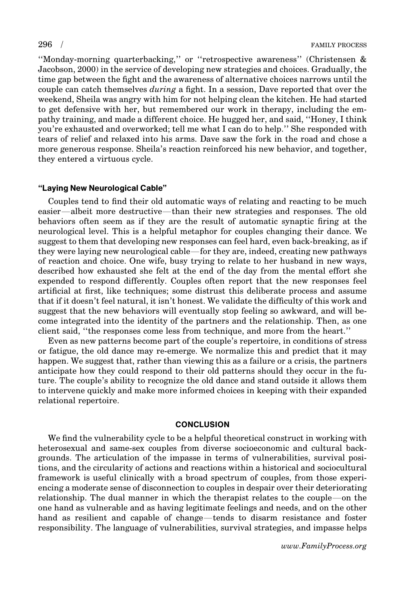''Monday-morning quarterbacking,'' or ''retrospective awareness'' (Christensen & Jacobson, 2000) in the service of developing new strategies and choices. Gradually, the time gap between the fight and the awareness of alternative choices narrows until the couple can catch themselves during a fight. In a session, Dave reported that over the weekend, Sheila was angry with him for not helping clean the kitchen. He had started to get defensive with her, but remembered our work in therapy, including the empathy training, and made a different choice. He hugged her, and said, ''Honey, I think you're exhausted and overworked; tell me what I can do to help.'' She responded with tears of relief and relaxed into his arms. Dave saw the fork in the road and chose a more generous response. Sheila's reaction reinforced his new behavior, and together, they entered a virtuous cycle.

## ''Laying New Neurological Cable''

Couples tend to find their old automatic ways of relating and reacting to be much easier-albeit more destructive-than their new strategies and responses. The old behaviors often seem as if they are the result of automatic synaptic firing at the neurological level. This is a helpful metaphor for couples changing their dance. We suggest to them that developing new responses can feel hard, even back-breaking, as if they were laying new neurological cable—for they are, indeed, creating new pathways of reaction and choice. One wife, busy trying to relate to her husband in new ways, described how exhausted she felt at the end of the day from the mental effort she expended to respond differently. Couples often report that the new responses feel artificial at first, like techniques; some distrust this deliberate process and assume that if it doesn't feel natural, it isn't honest. We validate the difficulty of this work and suggest that the new behaviors will eventually stop feeling so awkward, and will become integrated into the identity of the partners and the relationship. Then, as one client said, ''the responses come less from technique, and more from the heart.''

Even as new patterns become part of the couple's repertoire, in conditions of stress or fatigue, the old dance may re-emerge. We normalize this and predict that it may happen. We suggest that, rather than viewing this as a failure or a crisis, the partners anticipate how they could respond to their old patterns should they occur in the future. The couple's ability to recognize the old dance and stand outside it allows them to intervene quickly and make more informed choices in keeping with their expanded relational repertoire.

## **CONCLUSION**

We find the vulnerability cycle to be a helpful theoretical construct in working with heterosexual and same-sex couples from diverse socioeconomic and cultural backgrounds. The articulation of the impasse in terms of vulnerabilities, survival positions, and the circularity of actions and reactions within a historical and sociocultural framework is useful clinically with a broad spectrum of couples, from those experiencing a moderate sense of disconnection to couples in despair over their deteriorating relationship. The dual manner in which the therapist relates to the couple—on the one hand as vulnerable and as having legitimate feelings and needs, and on the other hand as resilient and capable of change—tends to disarm resistance and foster responsibility. The language of vulnerabilities, survival strategies, and impasse helps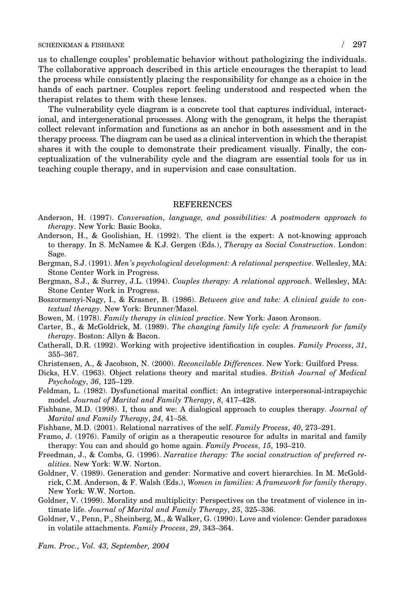us to challenge couples' problematic behavior without pathologizing the individuals. The collaborative approach described in this article encourages the therapist to lead the process while consistently placing the responsibility for change as a choice in the hands of each partner. Couples report feeling understood and respected when the therapist relates to them with these lenses.

The vulnerability cycle diagram is a concrete tool that captures individual, interactional, and intergenerational processes. Along with the genogram, it helps the therapist collect relevant information and functions as an anchor in both assessment and in the therapy process. The diagram can be used as a clinical intervention in which the therapist shares it with the couple to demonstrate their predicament visually. Finally, the conceptualization of the vulnerability cycle and the diagram are essential tools for us in teaching couple therapy, and in supervision and case consultation.

## REFERENCES

- Anderson, H. (1997). Conversation, language, and possibilities: A postmodern approach to therapy. New York: Basic Books.
- Anderson, H., & Goolishian, H. (1992). The client is the expert: A not-knowing approach to therapy. In S. McNamee & K.J. Gergen (Eds.), Therapy as Social Construction. London: Sage.
- Bergman, S.J. (1991). Men's psychological development: A relational perspective. Wellesley, MA: Stone Center Work in Progress.
- Bergman, S.J., & Surrey, J.L. (1994). Couples therapy: A relational approach. Wellesley, MA: Stone Center Work in Progress.
- Boszormenyi-Nagy, I., & Krasner, B. (1986). Between give and take: A clinical guide to contextual therapy. New York: Brunner/Mazel.
- Bowen, M. (1978). Family therapy in clinical practice. New York: Jason Aronson.
- Carter, B., & McGoldrick, M. (1989). The changing family life cycle: A framework for family therapy. Boston: Allyn & Bacon.
- Catherall, D.R. (1992). Working with projective identification in couples. Family Process, 31, 355–367.
- Christensen, A., & Jacobson, N. (2000). Reconcilable Differences. New York: Guilford Press.
- Dicks, H.V. (1963). Object relations theory and marital studies. British Journal of Medical Psychology, 36, 125–129.
- Feldman, L. (1982). Dysfunctional marital conflict: An integrative interpersonal-intrapsychic model. Journal of Marital and Family Therapy, 8, 417–428.
- Fishbane, M.D. (1998). I, thou and we: A dialogical approach to couples therapy. Journal of Marital and Family Therapy, 24, 41–58.
- Fishbane, M.D. (2001). Relational narratives of the self. Family Process, 40, 273–291.
- Framo, J. (1976). Family of origin as a therapeutic resource for adults in marital and family therapy: You can and should go home again. Family Process, 15, 193–210.
- Freedman, J., & Combs, G. (1996). Narrative therapy: The social construction of preferred realities. New York: W.W. Norton.
- Goldner, V. (1989). Generation and gender: Normative and covert hierarchies. In M. McGoldrick, C.M. Anderson, & F. Walsh (Eds.), Women in families: A framework for family therapy. New York: W.W. Norton.
- Goldner, V. (1999). Morality and multiplicity: Perspectives on the treatment of violence in intimate life. Journal of Marital and Family Therapy, 25, 325–336.
- Goldner, V., Penn, P., Sheinberg, M., & Walker, G. (1990). Love and violence: Gender paradoxes in volatile attachments. Family Process, 29, 343–364.

Fam. Proc., Vol. 43, September, 2004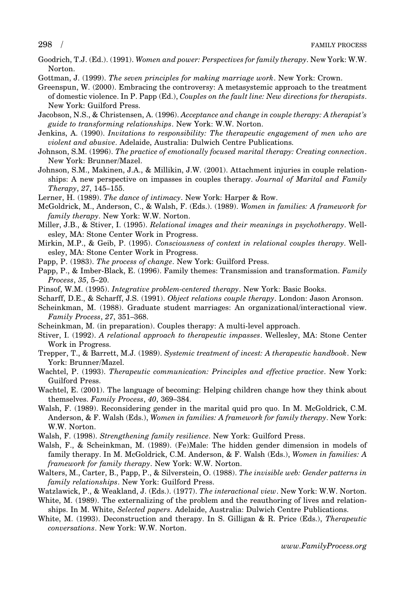- Goodrich, T.J. (Ed.). (1991). Women and power: Perspectives for family therapy. New York: W.W. Norton.
- Gottman, J. (1999). The seven principles for making marriage work. New York: Crown.
- Greenspun, W. (2000). Embracing the controversy: A metasystemic approach to the treatment of domestic violence. In P. Papp (Ed.), Couples on the fault line: New directions for therapists. New York: Guilford Press.
- Jacobson, N.S., & Christensen, A. (1996). Acceptance and change in couple therapy: A therapist's guide to transforming relationships. New York: W.W. Norton.
- Jenkins, A. (1990). Invitations to responsibility: The therapeutic engagement of men who are violent and abusive. Adelaide, Australia: Dulwich Centre Publications.
- Johnson, S.M. (1996). The practice of emotionally focused marital therapy: Creating connection. New York: Brunner/Mazel.
- Johnson, S.M., Makinen, J.A., & Millikin, J.W. (2001). Attachment injuries in couple relationships: A new perspective on impasses in couples therapy. Journal of Marital and Family Therapy, 27, 145–155.
- Lerner, H. (1989). The dance of intimacy. New York: Harper & Row.
- McGoldrick, M., Anderson, C., & Walsh, F. (Eds.). (1989). Women in families: A framework for family therapy. New York: W.W. Norton.
- Miller, J.B., & Stiver, I. (1995). Relational images and their meanings in psychotherapy. Wellesley, MA: Stone Center Work in Progress.
- Mirkin, M.P., & Geib, P. (1995). Consciousness of context in relational couples therapy. Wellesley, MA: Stone Center Work in Progress.
- Papp, P. (1983). The process of change. New York: Guilford Press.
- Papp, P., & Imber-Black, E. (1996). Family themes: Transmission and transformation. Family Process, 35, 5–20.
- Pinsof, W.M. (1995). Integrative problem-centered therapy. New York: Basic Books.
- Scharff, D.E., & Scharff, J.S. (1991). Object relations couple therapy. London: Jason Aronson.
- Scheinkman, M. (1988). Graduate student marriages: An organizational/interactional view. Family Process, 27, 351–368.
- Scheinkman, M. (in preparation). Couples therapy: A multi-level approach.
- Stiver, I. (1992). A relational approach to therapeutic impasses. Wellesley, MA: Stone Center Work in Progress.
- Trepper, T., & Barrett, M.J. (1989). Systemic treatment of incest: A therapeutic handbook. New York: Brunner/Mazel.
- Wachtel, P. (1993). Therapeutic communication: Principles and effective practice. New York: Guilford Press.
- Wachtel, E. (2001). The language of becoming: Helping children change how they think about themselves. Family Process, 40, 369-384.
- Walsh, F. (1989). Reconsidering gender in the marital quid pro quo. In M. McGoldrick, C.M. Anderson, & F. Walsh (Eds.), Women in families: A framework for family therapy. New York: W.W. Norton.
- Walsh, F. (1998). Strengthening family resilience. New York: Guilford Press.
- Walsh, F., & Scheinkman, M. (1989). (Fe)Male: The hidden gender dimension in models of family therapy. In M. McGoldrick, C.M. Anderson, & F. Walsh (Eds.), Women in families: A framework for family therapy. New York: W.W. Norton.
- Walters, M., Carter, B., Papp, P., & Silverstein, O. (1988). The invisible web: Gender patterns in family relationships. New York: Guilford Press.
- Watzlawick, P., & Weakland, J. (Eds.). (1977). The interactional view. New York: W.W. Norton.
- White, M. (1989). The externalizing of the problem and the reauthoring of lives and relationships. In M. White, Selected papers. Adelaide, Australia: Dulwich Centre Publications.
- White, M. (1993). Deconstruction and therapy. In S. Gilligan & R. Price (Eds.), Therapeutic conversations. New York: W.W. Norton.